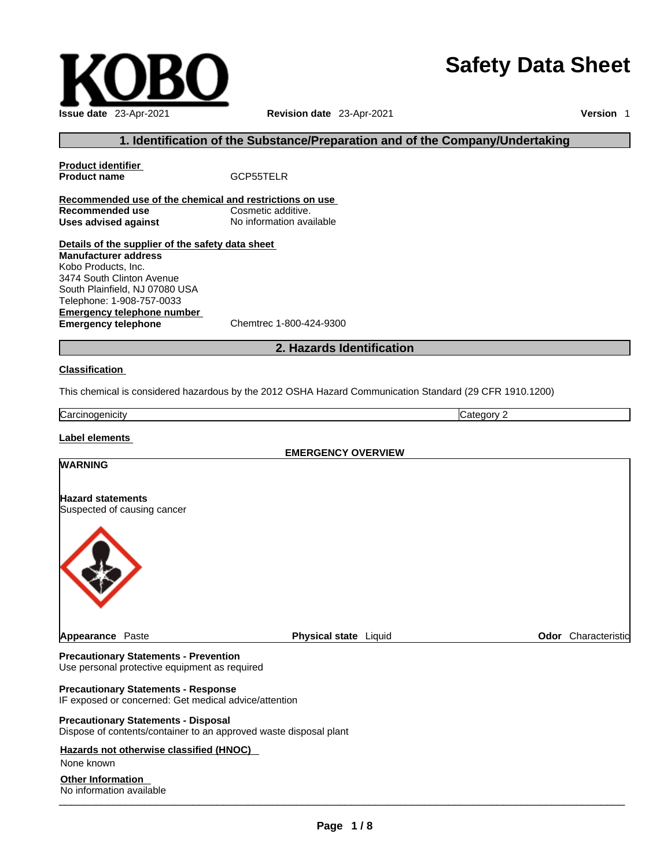# **Safety Data Sheet**



# **1. Identification of the Substance/Preparation and of the Company/Undertaking**

**Product identifier Product name** GCP55TELR **Recommended use of the chemical and restrictions on use Recommended use**<br> **Uses advised against**<br> **Uses advised against**<br> **No information available Uses** advised against **Details of the supplier of the safety data sheet Emergency telephone number**<br> **Emergency telephone**<br>
Chemtrec 1-800-424-9300 **Emergency telephone Manufacturer address** Kobo Products, Inc. 3474 South Clinton Avenue South Plainfield, NJ 07080 USA Telephone: 1-908-757-0033

**2. Hazards Identification** 

#### **Classification**

This chemical is considered hazardous by the 2012 OSHA Hazard Communication Standard (29 CFR 1910.1200)

**Carcinogenicity** Category 2

# **Label elements**

**EMERGENCY OVERVIEW WARNING Hazard statements** Suspected of causing cancer **Appearance Paste <b>Physical state** Liquid **Physical state Physical state Physical State Physical State Physical State Physical State Physical State Physical State Physical State Physical State Physical** 

#### **Precautionary Statements - Prevention** Use personal protective equipment as required

**Precautionary Statements - Response**

IF exposed or concerned: Get medical advice/attention

#### **Precautionary Statements - Disposal** Dispose of contents/container to an approved waste disposal plant

# **Hazards not otherwise classified (HNOC)**

None known

# **Other Information**

\_\_\_\_\_\_\_\_\_\_\_\_\_\_\_\_\_\_\_\_\_\_\_\_\_\_\_\_\_\_\_\_\_\_\_\_\_\_\_\_\_\_\_\_\_\_\_\_\_\_\_\_\_\_\_\_\_\_\_\_\_\_\_\_\_\_\_\_\_\_\_\_\_\_\_\_\_\_\_\_\_\_\_\_\_\_\_\_\_\_\_\_\_ No information available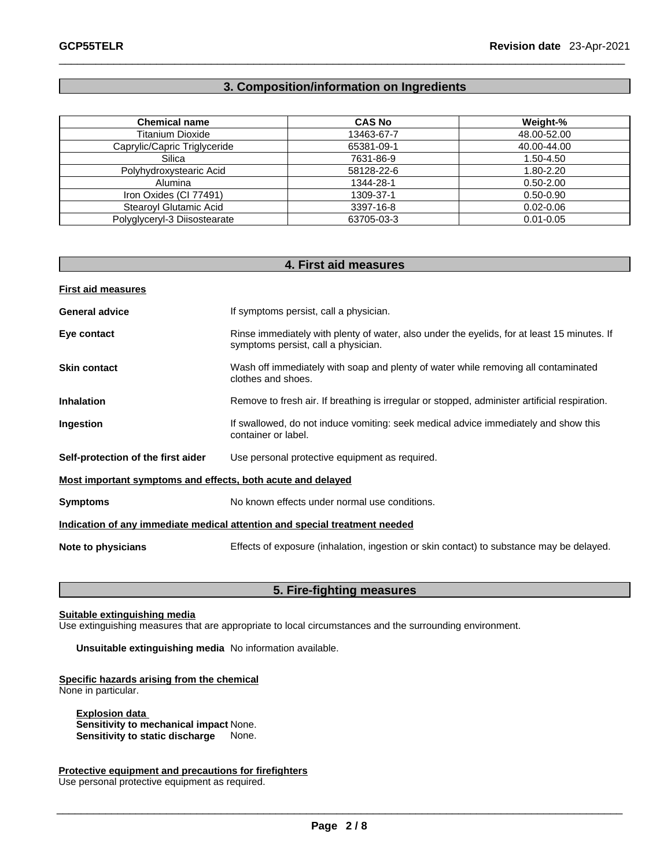# **3. Composition/information on Ingredients**

| <b>Chemical name</b>         | <b>CAS No</b> | Weight-%      |
|------------------------------|---------------|---------------|
| <b>Titanium Dioxide</b>      | 13463-67-7    | 48.00-52.00   |
| Caprylic/Capric Triglyceride | 65381-09-1    | 40.00-44.00   |
| Silica                       | 7631-86-9     | 1.50-4.50     |
| Polyhydroxystearic Acid      | 58128-22-6    | 1.80-2.20     |
| Alumina                      | 1344-28-1     | $0.50 - 2.00$ |
| Iron Oxides (CI 77491)       | 1309-37-1     | $0.50 - 0.90$ |
| Stearoyl Glutamic Acid       | 3397-16-8     | $0.02 - 0.06$ |
| Polyglyceryl-3 Diisostearate | 63705-03-3    | $0.01 - 0.05$ |

| 4. First aid measures                                                                                                              |
|------------------------------------------------------------------------------------------------------------------------------------|
|                                                                                                                                    |
| If symptoms persist, call a physician.                                                                                             |
| Rinse immediately with plenty of water, also under the eyelids, for at least 15 minutes. If<br>symptoms persist, call a physician. |
| Wash off immediately with soap and plenty of water while removing all contaminated<br>clothes and shoes.                           |
| Remove to fresh air. If breathing is irregular or stopped, administer artificial respiration.                                      |
| If swallowed, do not induce vomiting: seek medical advice immediately and show this<br>container or label.                         |
| Use personal protective equipment as required.                                                                                     |
| Most important symptoms and effects, both acute and delayed                                                                        |
| No known effects under normal use conditions.                                                                                      |
| Indication of any immediate medical attention and special treatment needed                                                         |
| Effects of exposure (inhalation, ingestion or skin contact) to substance may be delayed.                                           |
|                                                                                                                                    |

# **5. Fire-fighting measures**

#### **Suitable extinguishing media**

Use extinguishing measures that are appropriate to local circumstances and the surrounding environment.

**Unsuitable extinguishing media** No information available.

**Specific hazards arising from the chemical** None in particular.

**Explosion data Sensitivity to mechanical impact** None. **Sensitivity to static discharge** 

**Protective equipment and precautions for firefighters**

Use personal protective equipment as required.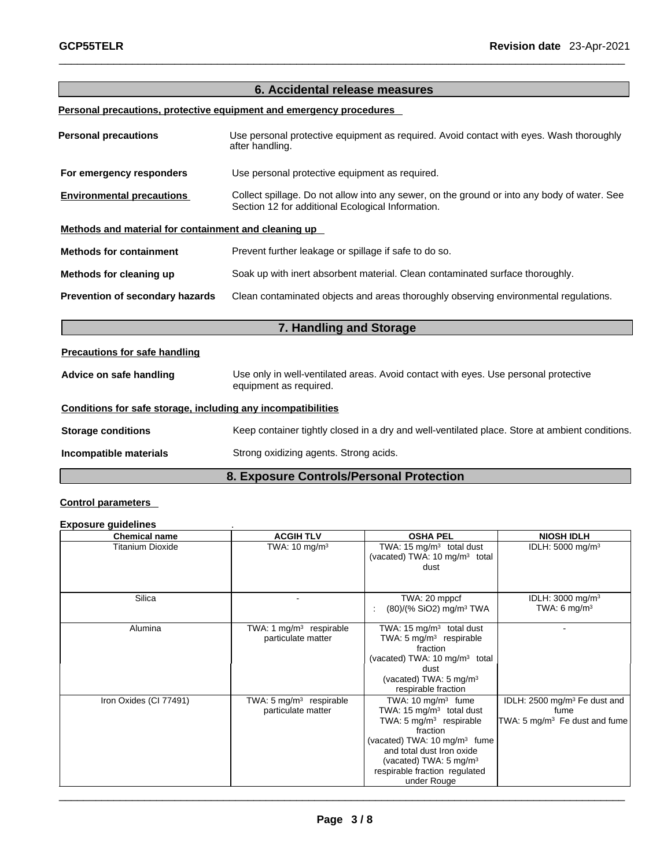|                                                              | 6. Accidental release measures                                                                                                                   |  |
|--------------------------------------------------------------|--------------------------------------------------------------------------------------------------------------------------------------------------|--|
|                                                              |                                                                                                                                                  |  |
|                                                              | Personal precautions, protective equipment and emergency procedures                                                                              |  |
| <b>Personal precautions</b>                                  | Use personal protective equipment as required. Avoid contact with eyes. Wash thoroughly<br>after handling.                                       |  |
| For emergency responders                                     | Use personal protective equipment as required.                                                                                                   |  |
| <b>Environmental precautions</b>                             | Collect spillage. Do not allow into any sewer, on the ground or into any body of water. See<br>Section 12 for additional Ecological Information. |  |
| Methods and material for containment and cleaning up         |                                                                                                                                                  |  |
| <b>Methods for containment</b>                               | Prevent further leakage or spillage if safe to do so.                                                                                            |  |
| Methods for cleaning up                                      | Soak up with inert absorbent material. Clean contaminated surface thoroughly.                                                                    |  |
| Prevention of secondary hazards                              | Clean contaminated objects and areas thoroughly observing environmental regulations.                                                             |  |
|                                                              | 7. Handling and Storage                                                                                                                          |  |
| <b>Precautions for safe handling</b>                         |                                                                                                                                                  |  |
| Advice on safe handling                                      | Use only in well-ventilated areas. Avoid contact with eyes. Use personal protective<br>equipment as required.                                    |  |
| Conditions for safe storage, including any incompatibilities |                                                                                                                                                  |  |
| <b>Storage conditions</b>                                    | Keep container tightly closed in a dry and well-ventilated place. Store at ambient conditions.                                                   |  |
| Incompatible materials                                       | Strong oxidizing agents. Strong acids.                                                                                                           |  |
|                                                              | 8. Exposure Controls/Personal Protection                                                                                                         |  |

# **Control parameters**

# **Exposure guidelines** .

| <b>Chemical name</b>    | <b>ACGIH TLV</b>                                          | <b>OSHA PEL</b>                                                                                                                                                                                                                                                             | <b>NIOSH IDLH</b>                                                                             |
|-------------------------|-----------------------------------------------------------|-----------------------------------------------------------------------------------------------------------------------------------------------------------------------------------------------------------------------------------------------------------------------------|-----------------------------------------------------------------------------------------------|
| <b>Titanium Dioxide</b> | TWA: $10 \text{ mg/m}^3$                                  | TWA: 15 $mg/m3$ total dust<br>(vacated) TWA: 10 mg/m <sup>3</sup> total<br>dust                                                                                                                                                                                             | IDLH: $5000$ mg/m <sup>3</sup>                                                                |
| Silica                  |                                                           | TWA: 20 mppcf<br>$(80)/(%$ SiO2) mg/m <sup>3</sup> TWA                                                                                                                                                                                                                      | IDLH: 3000 mg/m <sup>3</sup><br>TWA: 6 mg/m <sup>3</sup>                                      |
| Alumina                 | TWA: 1 $mg/m3$ respirable<br>particulate matter           | TWA: 15 $mg/m3$ total dust<br>TWA: $5 \text{ mg/m}^3$ respirable<br>fraction<br>(vacated) TWA: 10 mg/m <sup>3</sup> total<br>dust<br>(vacated) TWA: $5 \text{ mg/m}^3$<br>respirable fraction                                                                               |                                                                                               |
| Iron Oxides (CI 77491)  | TWA: 5 mg/m <sup>3</sup> respirable<br>particulate matter | TWA: $10 \text{ mg/m}^3$ fume<br>TWA: 15 $mg/m3$ total dust<br>TWA: 5 mg/m <sup>3</sup> respirable<br>fraction<br>(vacated) TWA: $10 \text{ mg/m}^3$ fume<br>and total dust Iron oxide<br>(vacated) TWA: $5 \text{ mg/m}^3$<br>respirable fraction regulated<br>under Rouge | IDLH: 2500 mg/m <sup>3</sup> Fe dust and<br>fume<br>TWA: 5 mg/m <sup>3</sup> Fe dust and fume |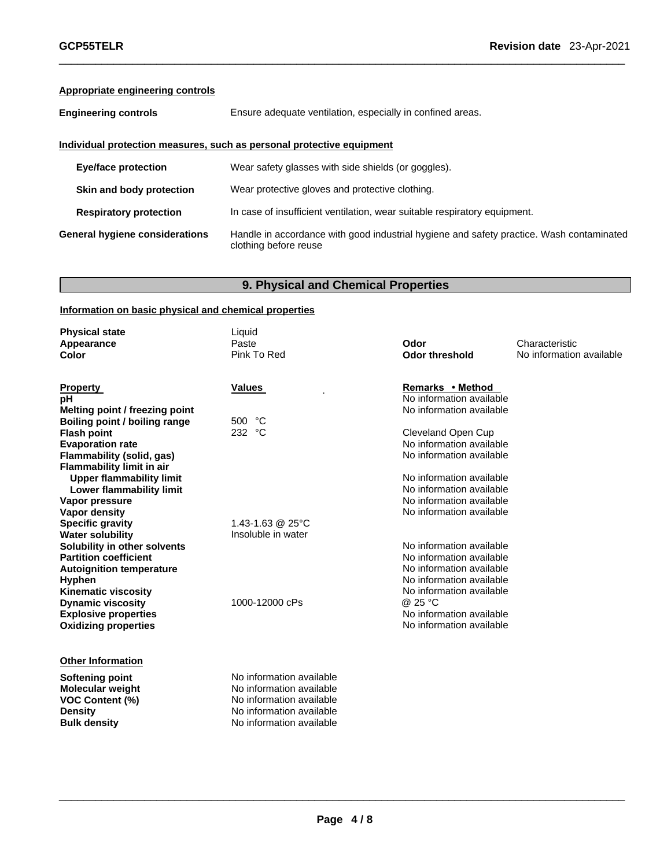# **Appropriate engineering controls**

**Engineering controls** Ensure adequate ventilation, especially in confined areas.

# **Individual protection measures, such as personal protective equipment**

| <b>Eye/face protection</b>     | Wear safety glasses with side shields (or goggles).                                                               |
|--------------------------------|-------------------------------------------------------------------------------------------------------------------|
| Skin and body protection       | Wear protective gloves and protective clothing.                                                                   |
| <b>Respiratory protection</b>  | In case of insufficient ventilation, wear suitable respiratory equipment.                                         |
| General hygiene considerations | Handle in accordance with good industrial hygiene and safety practice. Wash contaminated<br>clothing before reuse |

# **9. Physical and Chemical Properties**

# **Information on basic physical and chemical properties**

| <b>Physical state</b>                | Liquid                   |                          |                          |
|--------------------------------------|--------------------------|--------------------------|--------------------------|
| Appearance                           | Paste                    | Odor                     | Characteristic           |
| Color                                | Pink To Red              | <b>Odor threshold</b>    | No information available |
|                                      |                          |                          |                          |
| <b>Property</b>                      | Values                   | Remarks • Method         |                          |
| рH                                   |                          | No information available |                          |
| Melting point / freezing point       |                          | No information available |                          |
| <b>Boiling point / boiling range</b> | 500 °C                   |                          |                          |
| <b>Flash point</b>                   | 232 °C                   | Cleveland Open Cup       |                          |
| <b>Evaporation rate</b>              |                          | No information available |                          |
| Flammability (solid, gas)            |                          | No information available |                          |
| <b>Flammability limit in air</b>     |                          |                          |                          |
| <b>Upper flammability limit</b>      |                          | No information available |                          |
| <b>Lower flammability limit</b>      |                          | No information available |                          |
| Vapor pressure                       |                          | No information available |                          |
| Vapor density                        |                          | No information available |                          |
| <b>Specific gravity</b>              | 1.43-1.63 @ 25°C         |                          |                          |
| <b>Water solubility</b>              | Insoluble in water       |                          |                          |
| Solubility in other solvents         |                          | No information available |                          |
| <b>Partition coefficient</b>         |                          | No information available |                          |
| <b>Autoignition temperature</b>      |                          | No information available |                          |
| Hyphen                               |                          | No information available |                          |
| <b>Kinematic viscosity</b>           |                          | No information available |                          |
| <b>Dynamic viscosity</b>             | 1000-12000 cPs           | @ 25 °C                  |                          |
| <b>Explosive properties</b>          |                          | No information available |                          |
| <b>Oxidizing properties</b>          |                          | No information available |                          |
|                                      |                          |                          |                          |
|                                      |                          |                          |                          |
| <b>Other Information</b>             |                          |                          |                          |
| <b>Softening point</b>               | No information available |                          |                          |
| <b>Molecular weight</b>              | No information available |                          |                          |
| <b>VOC Content (%)</b>               | No information available |                          |                          |
| <b>Density</b>                       | No information available |                          |                          |
| <b>Bulk density</b>                  | No information available |                          |                          |
|                                      |                          |                          |                          |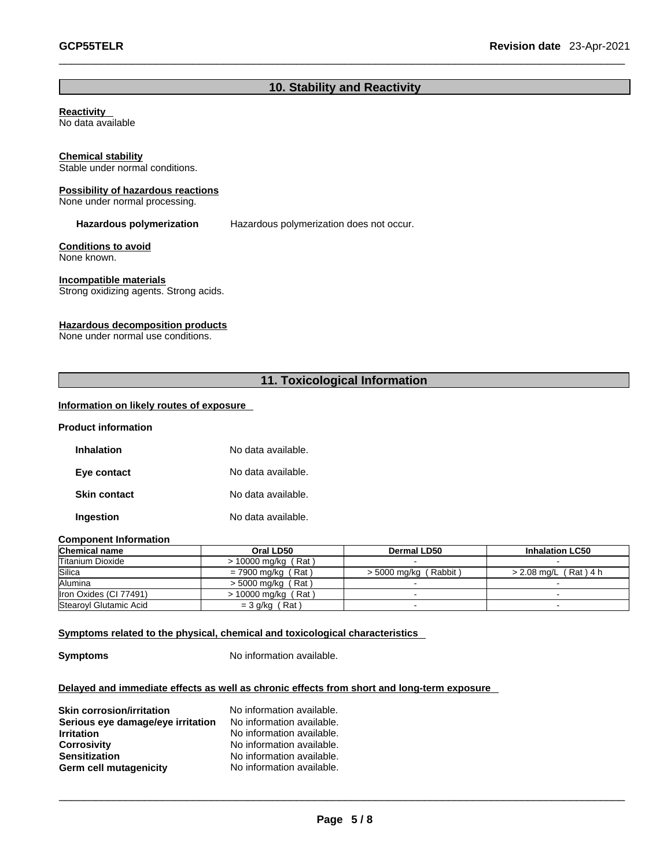# **10. Stability and Reactivity**

# **Reactivity**

No data available

# **Chemical stability**

Stable under normal conditions.

#### **Possibility of hazardous reactions**

None under normal processing.

**Hazardous polymerization** Hazardous polymerization does not occur.

# **Conditions to avoid**

None known.

# **Incompatible materials**

Strong oxidizing agents. Strong acids.

# **Hazardous decomposition products**

None under normal use conditions.

# **11. Toxicological Information**

# **Information on likely routes of exposure**

#### **Product information**

| Inhalation          | No data available. |
|---------------------|--------------------|
| Eye contact         | No data available. |
| <b>Skin contact</b> | No data available. |
| Ingestion           | No data available. |

#### **Component Information**

| <b>Chemical name</b>   | Oral LD50             | Dermal LD50             | <b>Inhalation LC50</b>  |
|------------------------|-----------------------|-------------------------|-------------------------|
| Titanium Dioxide       | $> 10000$ mg/kg (Rat) |                         |                         |
| Silica                 | = 7900 mg/kg (Rat)    | $>$ 5000 mg/kg (Rabbit) | $> 2.08$ mg/L (Rat) 4 h |
| Alumina                | $>$ 5000 mg/kg (Rat)  |                         |                         |
| Iron Oxides (CI 77491) | > 10000 mg/kg (Rat)   |                         |                         |
| Stearovl Glutamic Acid | $=$ 3 g/kg (Rat)      |                         |                         |

#### **<u>Symptoms related to the physical, chemical and toxicological characteristics</u>**

**Symptoms** No information available.

# **Delayed and immediate effects as well as chronic effects from short and long-term exposure**

| <b>Skin corrosion/irritation</b>  | No information available. |
|-----------------------------------|---------------------------|
| Serious eye damage/eye irritation | No information available. |
| <b>Irritation</b>                 | No information available. |
| <b>Corrosivity</b>                | No information available. |
| <b>Sensitization</b>              | No information available. |
| Germ cell mutagenicity            | No information available. |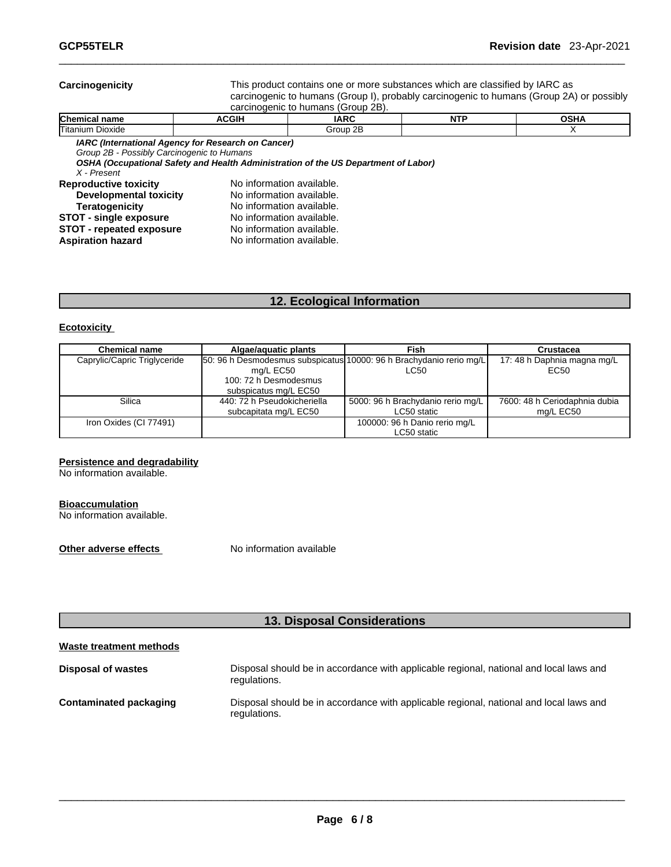#### **Carcinogenicity** This product contains one ormore substances which are classified by IARC as carcinogenic to humans (Group I), probably carcinogenic to humans (Group 2A) or possibly

carcinogenic to humans (Group 2B).

| Chemical name                                                                                                                                                                   | <b>ACGIH</b>                                                                                                                                                               | <b>IARC</b>                                                                        | <b>NTP</b> | <b>OSHA</b> |
|---------------------------------------------------------------------------------------------------------------------------------------------------------------------------------|----------------------------------------------------------------------------------------------------------------------------------------------------------------------------|------------------------------------------------------------------------------------|------------|-------------|
| lTitanium Dioxide                                                                                                                                                               |                                                                                                                                                                            | Group 2B                                                                           |            |             |
| Group 2B - Possibly Carcinogenic to Humans<br>X - Present                                                                                                                       | IARC (International Agency for Research on Cancer)                                                                                                                         | OSHA (Occupational Safety and Health Administration of the US Department of Labor) |            |             |
| <b>Reproductive toxicity</b><br>Developmental toxicity<br><b>Teratogenicity</b><br><b>STOT - single exposure</b><br><b>STOT - repeated exposure</b><br><b>Aspiration hazard</b> | No information available.<br>No information available.<br>No information available.<br>No information available.<br>No information available.<br>No information available. |                                                                                    |            |             |

# **12. Ecological Information**

# **Ecotoxicity**

| <b>Chemical name</b>         | Algae/aquatic plants                                                | Fish                              | <b>Crustacea</b>              |
|------------------------------|---------------------------------------------------------------------|-----------------------------------|-------------------------------|
| Caprylic/Capric Triglyceride | 50: 96 h Desmodesmus subspicatus 10000: 96 h Brachydanio rerio mg/L |                                   | 17: 48 h Daphnia magna mg/L   |
|                              | mg/L EC50                                                           | LC50                              | EC50                          |
|                              | 100: 72 h Desmodesmus                                               |                                   |                               |
|                              | subspicatus mg/L EC50                                               |                                   |                               |
| Silica                       | 440: 72 h Pseudokicheriella                                         | 5000: 96 h Brachydanio rerio mg/L | 7600: 48 h Ceriodaphnia dubia |
|                              | subcapitata mg/L EC50                                               | LC50 static                       | mg/L EC50                     |
| Iron Oxides (CI 77491)       |                                                                     | 100000: 96 h Danio rerio mg/L     |                               |
|                              |                                                                     | LC50 static                       |                               |

#### **Persistence and degradability**

No information available.

#### **Bioaccumulation**

No information available.

**Other adverse effects** No information available

# **13. Disposal Considerations**

| Waste treatment methods   |                                                                                                        |
|---------------------------|--------------------------------------------------------------------------------------------------------|
| <b>Disposal of wastes</b> | Disposal should be in accordance with applicable regional, national and local laws and<br>regulations. |
| Contaminated packaging    | Disposal should be in accordance with applicable regional, national and local laws and<br>regulations. |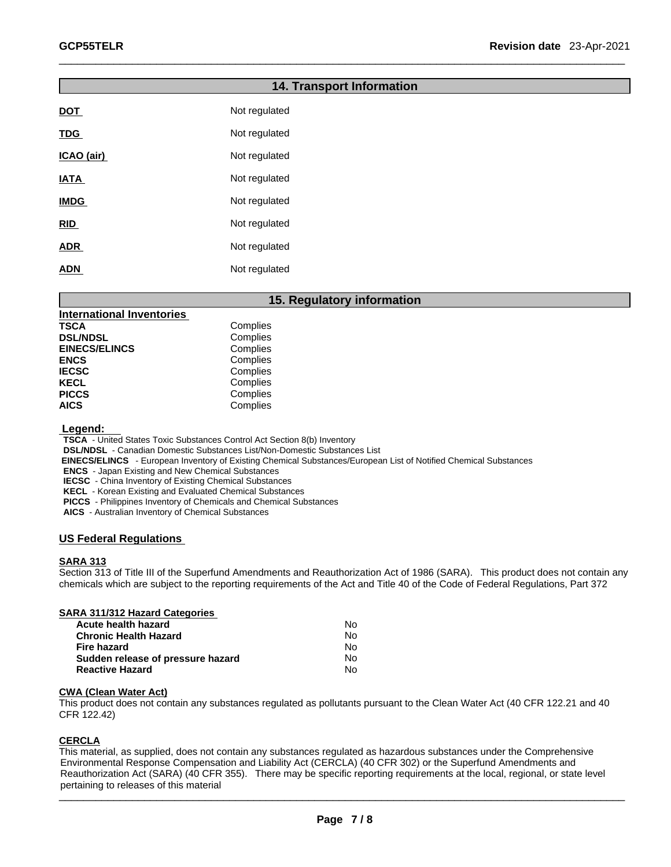|             | <b>14. Transport Information</b> |  |
|-------------|----------------------------------|--|
| <b>DOT</b>  | Not regulated                    |  |
| <b>TDG</b>  | Not regulated                    |  |
| ICAO (air)  | Not regulated                    |  |
| <b>IATA</b> | Not regulated                    |  |
| <b>IMDG</b> | Not regulated                    |  |
| RID         | Not regulated                    |  |
| <b>ADR</b>  | Not regulated                    |  |
| <b>ADN</b>  | Not regulated                    |  |

# **15. Regulatory information**

| Complies |
|----------|
| Complies |
| Complies |
| Complies |
| Complies |
| Complies |
| Complies |
| Complies |
|          |

 **Legend:** 

**TSCA** - United States Toxic Substances Control Act Section 8(b) Inventory

**DSL/NDSL** - Canadian Domestic Substances List/Non-Domestic Substances List

 **EINECS/ELINCS** - European Inventory of Existing Chemical Substances/European List of Notified Chemical Substances

**ENCS** - Japan Existing and New Chemical Substances

**IECSC** - China Inventory of Existing Chemical Substances

**KECL** - Korean Existing and Evaluated Chemical Substances

**PICCS** - Philippines Inventory of Chemicals and Chemical Substances

**AICS** - Australian Inventory of Chemical Substances

# **US Federal Regulations**

#### **SARA 313**

Section 313 of Title III of the Superfund Amendments and Reauthorization Act of 1986 (SARA). This product does not contain any chemicals which are subject to the reporting requirements of the Act and Title 40 of the Code of Federal Regulations, Part 372

| <b>SARA 311/312 Hazard Categories</b> |  |
|---------------------------------------|--|
| A controllera altricitativamente      |  |

| Acute health hazard               | Nο  |  |
|-----------------------------------|-----|--|
| Chronic Health Hazard             | No. |  |
| Fire hazard                       | No. |  |
| Sudden release of pressure hazard | N٥  |  |
| Reactive Hazard                   | No. |  |

#### **CWA** (Clean Water Act)

This product does not contain any substances regulated as pollutants pursuant to the Clean Water Act (40 CFR 122.21 and 40 CFR 122.42)

# **CERCLA**

This material, as supplied, does not contain any substances regulated as hazardous substances under the Comprehensive Environmental Response Compensation and Liability Act (CERCLA) (40 CFR 302) or the Superfund Amendments and Reauthorization Act (SARA) (40 CFR 355). There may be specific reporting requirements at the local, regional, or state level pertaining to releases of this material

 $\_$  . The contribution of the contribution of the contribution of the contribution of the contribution of the contribution of the contribution of the contribution of the contribution of the contribution of the contributio